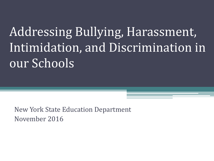# Addressing Bullying, Harassment, Intimidation, and Discrimination in our Schools

New York State Education Department November 2016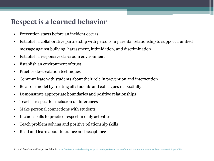#### **Respect is a learned behavior**

- Prevention starts before an incident occurs
- Establish a collaborative partnership with persons in parental relationship to support a unified message against bullying, harassment, intimidation, and discrimination
- Establish a responsive classroom environment
- Establish an environment of trust
- Practice de-escalation techniques
- Communicate with students about their role in prevention and intervention
- Be a role model by treating all students and colleagues respectfully
- Demonstrate appropriate boundaries and positive relationships
- Teach a respect for inclusion of differences
- Make personal connections with students
- Include skills to practice respect in daily activities
- Teach problem solving and positive relationship skills
- Read and learn about tolerance and acceptance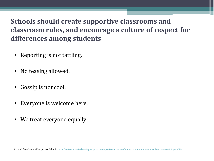## **Schools should create supportive classrooms and classroom rules, and encourage a culture of respect for differences among students**

- Reporting is not tattling.
- No teasing allowed.
- Gossip is not cool.
- Everyone is welcome here.
- We treat everyone equally.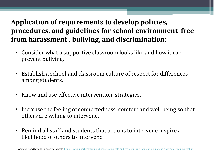## **Application of requirements to develop policies, procedures, and guidelines for school environment free from harassment , bullying, and discrimination:**

- Consider what a supportive classroom looks like and how it can prevent bullying.
- Establish a school and classroom culture of respect for differences among students.
- Know and use effective intervention strategies.
- Increase the feeling of connectedness, comfort and well being so that others are willing to intervene.
- Remind all staff and students that actions to intervene inspire a likelihood of others to intervene.

Adapted from Safe and Supportive Schools <https://safesupportivelearning.ed.gov/creating-safe-and-respectful-environment-our-nations-classrooms-training-toolkit>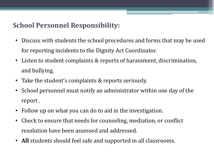## **School Personnel Responsibility:**

- Discuss with students the school procedures and forms that may be used for reporting incidents to the Dignity Act Coordinator.
- Listen to student complaints & reports of harassment, discrimination, and bullying.
- Take the student's complaints & reports seriously.
- School personnel must notify an administrator within one day of the report .
- Follow up on what you can do to aid in the investigation.
- Check to ensure that needs for counseling, mediation, or conflict resolution have been assessed and addressed.
- **All** students should feel safe and supported in all classrooms.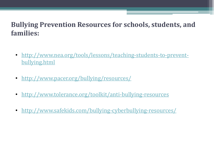#### **Bullying Prevention Resources for schools, students, and families:**

- [http://www.nea.org/tools/lessons/teaching-students-to-prevent](http://www.nea.org/tools/lessons/teaching-students-to-prevent-bullying.html)[bullying.html](http://www.nea.org/tools/lessons/teaching-students-to-prevent-bullying.html)
- <http://www.pacer.org/bullying/resources/>
- <http://www.tolerance.org/toolkit/anti-bullying-resources>
- <http://www.safekids.com/bullying-cyberbullying-resources/>